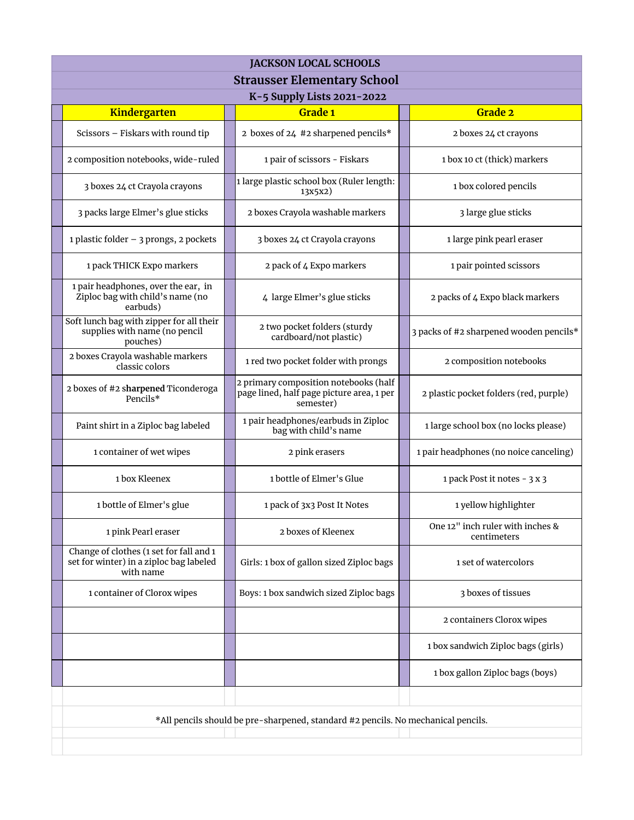| <b>JACKSON LOCAL SCHOOLS</b>                                                                    |  |                                                                                                 |  |                                                 |  |  |
|-------------------------------------------------------------------------------------------------|--|-------------------------------------------------------------------------------------------------|--|-------------------------------------------------|--|--|
| <b>Strausser Elementary School</b>                                                              |  |                                                                                                 |  |                                                 |  |  |
| K-5 Supply Lists 2021-2022                                                                      |  |                                                                                                 |  |                                                 |  |  |
| Kindergarten                                                                                    |  | Grade 1                                                                                         |  | Grade 2                                         |  |  |
| Scissors - Fiskars with round tip                                                               |  | 2 boxes of 24 #2 sharpened pencils*                                                             |  | 2 boxes 24 ct crayons                           |  |  |
| 2 composition notebooks, wide-ruled                                                             |  | 1 pair of scissors - Fiskars                                                                    |  | 1 box 10 ct (thick) markers                     |  |  |
| 3 boxes 24 ct Crayola crayons                                                                   |  | 1 large plastic school box (Ruler length:<br>13x5x2)                                            |  | 1 box colored pencils                           |  |  |
| 3 packs large Elmer's glue sticks                                                               |  | 2 boxes Crayola washable markers                                                                |  | 3 large glue sticks                             |  |  |
| 1 plastic folder - 3 prongs, 2 pockets                                                          |  | 3 boxes 24 ct Crayola crayons                                                                   |  | 1 large pink pearl eraser                       |  |  |
| 1 pack THICK Expo markers                                                                       |  | 2 pack of 4 Expo markers                                                                        |  | 1 pair pointed scissors                         |  |  |
| 1 pair headphones, over the ear, in<br>Ziploc bag with child's name (no<br>earbuds)             |  | 4 large Elmer's glue sticks                                                                     |  | 2 packs of 4 Expo black markers                 |  |  |
| Soft lunch bag with zipper for all their<br>supplies with name (no pencil<br>pouches)           |  | 2 two pocket folders (sturdy<br>cardboard/not plastic)                                          |  | 3 packs of #2 sharpened wooden pencils*         |  |  |
| 2 boxes Crayola washable markers<br>classic colors                                              |  | 1 red two pocket folder with prongs                                                             |  | 2 composition notebooks                         |  |  |
| 2 boxes of #2 sharpened Ticonderoga<br>Pencils*                                                 |  | 2 primary composition notebooks (half<br>page lined, half page picture area, 1 per<br>semester) |  | 2 plastic pocket folders (red, purple)          |  |  |
| Paint shirt in a Ziploc bag labeled                                                             |  | 1 pair headphones/earbuds in Ziploc<br>bag with child's name                                    |  | 1 large school box (no locks please)            |  |  |
| 1 container of wet wipes                                                                        |  | 2 pink erasers                                                                                  |  | 1 pair headphones (no noice canceling)          |  |  |
| 1 box Kleenex                                                                                   |  | 1 bottle of Elmer's Glue                                                                        |  | 1 pack Post it notes - 3 x 3                    |  |  |
| 1 bottle of Elmer's glue                                                                        |  | 1 pack of 3x3 Post It Notes                                                                     |  | 1 yellow highlighter                            |  |  |
| 1 pink Pearl eraser                                                                             |  | 2 boxes of Kleenex                                                                              |  | One 12" inch ruler with inches &<br>centimeters |  |  |
| Change of clothes (1 set for fall and 1<br>set for winter) in a ziploc bag labeled<br>with name |  | Girls: 1 box of gallon sized Ziploc bags                                                        |  | 1 set of watercolors                            |  |  |
| 1 container of Clorox wipes                                                                     |  | Boys: 1 box sandwich sized Ziploc bags                                                          |  | 3 boxes of tissues                              |  |  |
|                                                                                                 |  |                                                                                                 |  | 2 containers Clorox wipes                       |  |  |
|                                                                                                 |  |                                                                                                 |  | 1 box sandwich Ziploc bags (girls)              |  |  |
|                                                                                                 |  |                                                                                                 |  | 1 box gallon Ziploc bags (boys)                 |  |  |
|                                                                                                 |  |                                                                                                 |  |                                                 |  |  |
| *All pencils should be pre-sharpened, standard #2 pencils. No mechanical pencils.               |  |                                                                                                 |  |                                                 |  |  |
|                                                                                                 |  |                                                                                                 |  |                                                 |  |  |